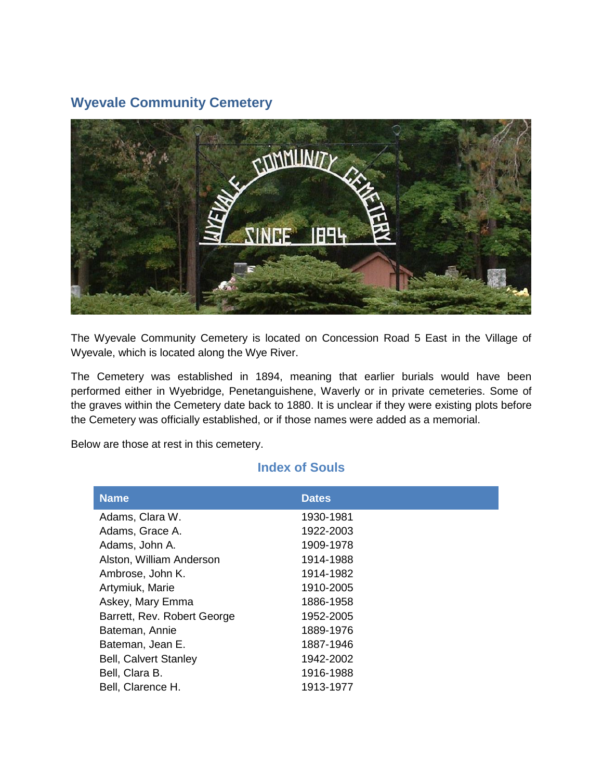## **Wyevale Community Cemetery**



The Wyevale Community Cemetery is located on Concession Road 5 East in the Village of Wyevale, which is located along the Wye River.

The Cemetery was established in 1894, meaning that earlier burials would have been performed either in Wyebridge, Penetanguishene, Waverly or in private cemeteries. Some of the graves within the Cemetery date back to 1880. It is unclear if they were existing plots before the Cemetery was officially established, or if those names were added as a memorial.

Below are those at rest in this cemetery.

## **Index of Souls**

| <b>Name</b>                  | <b>Dates</b> |
|------------------------------|--------------|
| Adams, Clara W.              | 1930-1981    |
| Adams, Grace A.              | 1922-2003    |
| Adams, John A.               | 1909-1978    |
| Alston, William Anderson     | 1914-1988    |
| Ambrose, John K.             | 1914-1982    |
| Artymiuk, Marie              | 1910-2005    |
| Askey, Mary Emma             | 1886-1958    |
| Barrett, Rev. Robert George  | 1952-2005    |
| Bateman, Annie               | 1889-1976    |
| Bateman, Jean E.             | 1887-1946    |
| <b>Bell, Calvert Stanley</b> | 1942-2002    |
| Bell, Clara B.               | 1916-1988    |
| Bell, Clarence H.            | 1913-1977    |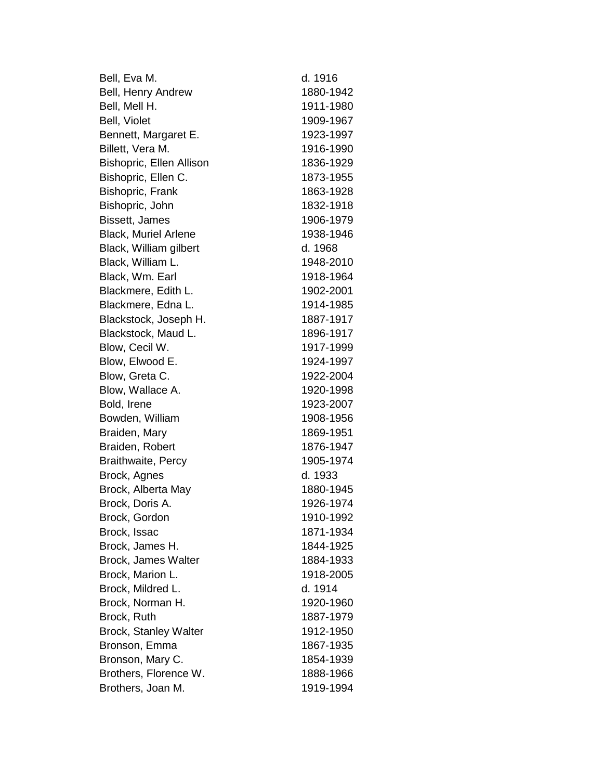Bell, Eva M. d. 1916 Bell, Henry Andrew 1880-1942 Bell, Mell H. 1911-1980 Bell, Violet 1909-1967 Bennett, Margaret E. 1923-1997 Billett, Vera M. 1916-1990 Bishopric, Ellen Allison 1836-1929 Bishopric, Ellen C. 1873-1955 Bishopric, Frank 1863-1928 Bishopric, John 1832-1918 Bissett, James 1906-1979 Black, Muriel Arlene 1938-1946 Black, William gilbert d. 1968 Black, William L. 1948-2010 Black, Wm. Earl 1918-1964 Blackmere, Edith L. 1902-2001 Blackmere, Edna L. 1914-1985 Blackstock, Joseph H. 1887-1917 Blackstock, Maud L. 1896-1917 Blow, Cecil W. 1917-1999 Blow, Elwood E. 1924-1997 Blow, Greta C. 1922-2004 Blow, Wallace A. 1920-1998 Bold, Irene 1923-2007 Bowden, William 1908-1956 Braiden, Mary 1869-1951 Braiden, Robert 1876-1947 Braithwaite, Percy 1905-1974 Brock, Agnes d. 1933 Brock, Alberta May 1880-1945 Brock, Doris A. 1926-1974 Brock, Gordon 1910-1992 Brock, Issac 1871-1934 Brock, James H. 1844-1925 Brock, James Walter 1884-1933 Brock, Marion L. 1918-2005 Brock, Mildred L. d. 1914 Brock, Norman H. 1920-1960 Brock, Ruth 1887-1979 Brock, Stanley Walter 1912-1950 Bronson, Emma 1867-1935 Bronson, Mary C. 1854-1939 Brothers, Florence W. 1888-1966 Brothers, Joan M. 1919-1994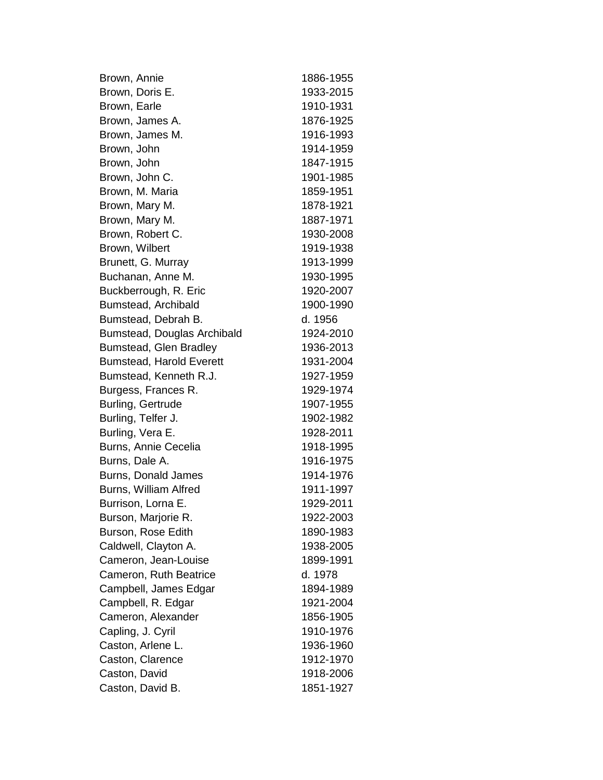Brown, Annie 1886-1955 Brown, Doris E. 1933-2015 Brown, Earle 1910-1931 Brown, James A. 1876-1925 Brown, James M. 1916-1993 Brown, John 1914-1959 Brown, John 1847-1915 Brown, John C. 1901-1985 Brown, M. Maria 1859-1951 Brown, Mary M. 1878-1921 Brown, Mary M. 1887-1971 Brown, Robert C. 1930-2008 Brown, Wilbert 1919-1938 Brunett, G. Murray 1913-1999 Buchanan, Anne M. 1930-1995 Buckberrough, R. Eric 1920-2007 Bumstead, Archibald 1900-1990 Bumstead, Debrah B. d. 1956 Bumstead, Douglas Archibald 1924-2010 Bumstead, Glen Bradley 1936-2013 Bumstead, Harold Everett 1931-2004 Bumstead, Kenneth R.J. 1927-1959 Burgess, Frances R. 1929-1974 Burling, Gertrude 1907-1955 Burling, Telfer J. 1902-1982 Burling, Vera E. 1928-2011 Burns, Annie Cecelia 1918-1995 Burns, Dale A. 1916-1975 Burns, Donald James 1914-1976 Burns, William Alfred 1911-1997 Burrison, Lorna E. 1929-2011 Burson, Marjorie R. 1922-2003 Burson, Rose Edith 1890-1983 Caldwell, Clayton A. 1938-2005 Cameron, Jean-Louise 1899-1991 Cameron, Ruth Beatrice d. 1978 Campbell, James Edgar 1894-1989 Campbell, R. Edgar 1921-2004 Cameron, Alexander 1856-1905 Capling, J. Cyril 1910-1976 Caston, Arlene L. 1936-1960 Caston, Clarence 1912-1970 Caston, David 1918-2006 Caston, David B. 1851-1927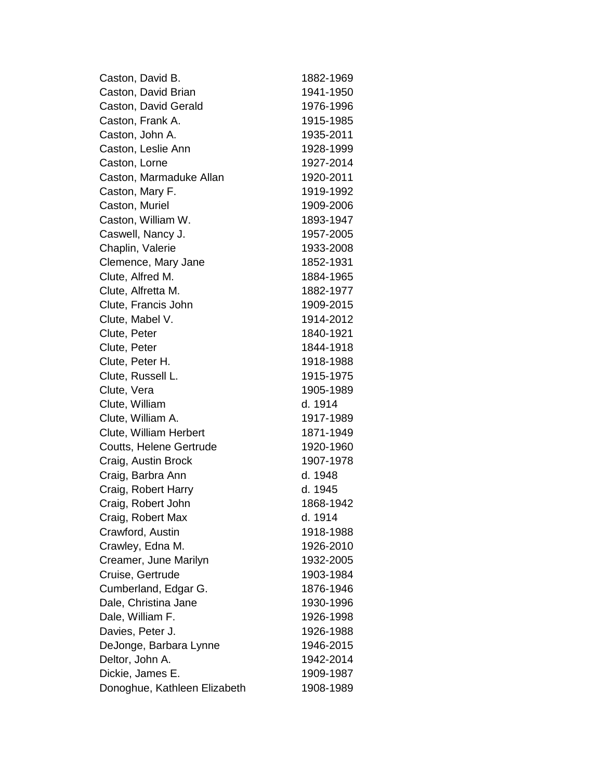| Caston, David B.             | 1882-1969 |
|------------------------------|-----------|
| Caston, David Brian          | 1941-1950 |
| Caston, David Gerald         | 1976-1996 |
| Caston, Frank A.             | 1915-1985 |
| Caston, John A.              | 1935-2011 |
| Caston, Leslie Ann           | 1928-1999 |
| Caston, Lorne                | 1927-2014 |
| Caston, Marmaduke Allan      | 1920-2011 |
| Caston, Mary F.              | 1919-1992 |
| Caston, Muriel               | 1909-2006 |
| Caston, William W.           | 1893-1947 |
| Caswell, Nancy J.            | 1957-2005 |
| Chaplin, Valerie             | 1933-2008 |
| Clemence, Mary Jane          | 1852-1931 |
| Clute, Alfred M.             | 1884-1965 |
| Clute, Alfretta M.           | 1882-1977 |
| Clute, Francis John          | 1909-2015 |
| Clute, Mabel V.              | 1914-2012 |
| Clute, Peter                 | 1840-1921 |
| Clute, Peter                 | 1844-1918 |
| Clute, Peter H.              | 1918-1988 |
| Clute, Russell L.            | 1915-1975 |
| Clute, Vera                  | 1905-1989 |
| Clute, William               | d. 1914   |
| Clute, William A.            | 1917-1989 |
| Clute, William Herbert       | 1871-1949 |
| Coutts, Helene Gertrude      | 1920-1960 |
| Craig, Austin Brock          | 1907-1978 |
| Craig, Barbra Ann            | d. 1948   |
| Craig, Robert Harry          | d. 1945   |
| Craig, Robert John           | 1868-1942 |
| Craig, Robert Max            | d. 1914   |
| Crawford, Austin             | 1918-1988 |
| Crawley, Edna M.             | 1926-2010 |
| Creamer, June Marilyn        | 1932-2005 |
| Cruise, Gertrude             | 1903-1984 |
| Cumberland, Edgar G.         | 1876-1946 |
| Dale, Christina Jane         | 1930-1996 |
| Dale, William F.             | 1926-1998 |
| Davies, Peter J.             | 1926-1988 |
| DeJonge, Barbara Lynne       | 1946-2015 |
| Deltor, John A.              | 1942-2014 |
| Dickie, James E.             | 1909-1987 |
| Donoghue, Kathleen Elizabeth | 1908-1989 |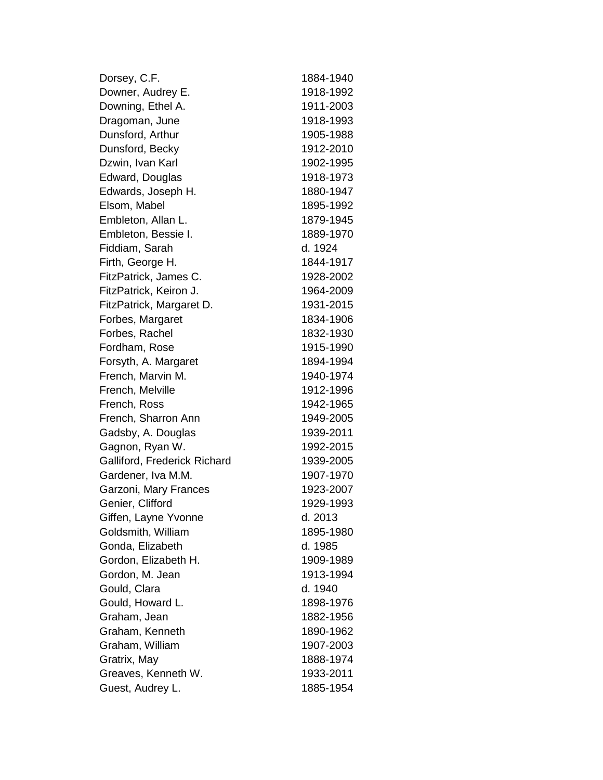| Dorsey, C.F.                 | 1884-1940 |
|------------------------------|-----------|
| Downer, Audrey E.            | 1918-1992 |
| Downing, Ethel A.            | 1911-2003 |
| Dragoman, June               | 1918-1993 |
| Dunsford, Arthur             | 1905-1988 |
| Dunsford, Becky              | 1912-2010 |
| Dzwin, Ivan Karl             | 1902-1995 |
| Edward, Douglas              | 1918-1973 |
| Edwards, Joseph H.           | 1880-1947 |
| Elsom, Mabel                 | 1895-1992 |
| Embleton, Allan L.           | 1879-1945 |
| Embleton, Bessie I.          | 1889-1970 |
| Fiddiam, Sarah               | d. 1924   |
| Firth, George H.             | 1844-1917 |
| FitzPatrick, James C.        | 1928-2002 |
| FitzPatrick, Keiron J.       | 1964-2009 |
| FitzPatrick, Margaret D.     | 1931-2015 |
| Forbes, Margaret             | 1834-1906 |
| Forbes, Rachel               | 1832-1930 |
| Fordham, Rose                | 1915-1990 |
| Forsyth, A. Margaret         | 1894-1994 |
| French, Marvin M.            | 1940-1974 |
| French, Melville             | 1912-1996 |
| French, Ross                 | 1942-1965 |
| French, Sharron Ann          | 1949-2005 |
| Gadsby, A. Douglas           | 1939-2011 |
| Gagnon, Ryan W.              | 1992-2015 |
| Galliford, Frederick Richard | 1939-2005 |
| Gardener, Iva M.M.           | 1907-1970 |
| Garzoni, Mary Frances        | 1923-2007 |
| Genier, Clifford             | 1929-1993 |
| Giffen, Layne Yvonne         | d. 2013   |
| Goldsmith, William           | 1895-1980 |
| Gonda, Elizabeth             | d. 1985   |
| Gordon, Elizabeth H.         | 1909-1989 |
| Gordon, M. Jean              | 1913-1994 |
| Gould, Clara                 | d. 1940   |
| Gould, Howard L.             | 1898-1976 |
| Graham, Jean                 | 1882-1956 |
| Graham, Kenneth              | 1890-1962 |
| Graham, William              | 1907-2003 |
| Gratrix, May                 | 1888-1974 |
| Greaves, Kenneth W.          | 1933-2011 |
| Guest, Audrey L.             | 1885-1954 |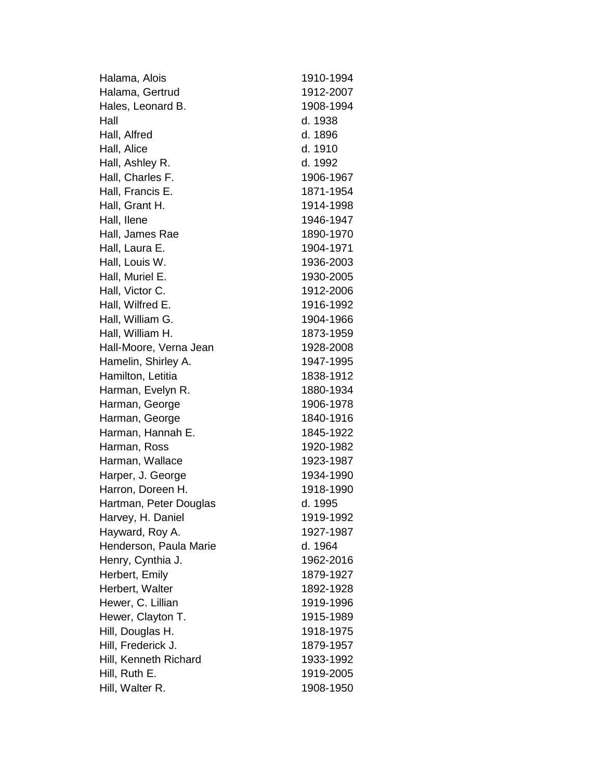| Halama, Alois          | 1910-1994 |
|------------------------|-----------|
| Halama, Gertrud        | 1912-2007 |
| Hales, Leonard B.      | 1908-1994 |
| Hall                   | d. 1938   |
| Hall, Alfred           | d. 1896   |
| Hall, Alice            | d. 1910   |
| Hall, Ashley R.        | d. 1992   |
| Hall, Charles F.       | 1906-1967 |
| Hall, Francis E.       | 1871-1954 |
| Hall, Grant H.         | 1914-1998 |
| Hall, Ilene            | 1946-1947 |
| Hall, James Rae        | 1890-1970 |
| Hall, Laura E.         | 1904-1971 |
| Hall, Louis W.         | 1936-2003 |
| Hall, Muriel E.        | 1930-2005 |
| Hall, Victor C.        | 1912-2006 |
| Hall, Wilfred E.       | 1916-1992 |
| Hall, William G.       | 1904-1966 |
| Hall, William H.       | 1873-1959 |
| Hall-Moore, Verna Jean | 1928-2008 |
| Hamelin, Shirley A.    | 1947-1995 |
| Hamilton, Letitia      | 1838-1912 |
| Harman, Evelyn R.      | 1880-1934 |
| Harman, George         | 1906-1978 |
| Harman, George         | 1840-1916 |
| Harman, Hannah E.      | 1845-1922 |
| Harman, Ross           | 1920-1982 |
| Harman, Wallace        | 1923-1987 |
| Harper, J. George      | 1934-1990 |
| Harron, Doreen H.      | 1918-1990 |
| Hartman, Peter Douglas | d. 1995   |
| Harvey, H. Daniel      | 1919-1992 |
| Hayward, Roy A.        | 1927-1987 |
| Henderson, Paula Marie | d. 1964   |
| Henry, Cynthia J.      | 1962-2016 |
| Herbert, Emily         | 1879-1927 |
| Herbert, Walter        | 1892-1928 |
| Hewer, C. Lillian      | 1919-1996 |
| Hewer, Clayton T.      | 1915-1989 |
| Hill, Douglas H.       | 1918-1975 |
| Hill, Frederick J.     | 1879-1957 |
| Hill, Kenneth Richard  | 1933-1992 |
| Hill, Ruth E.          | 1919-2005 |
| Hill, Walter R.        | 1908-1950 |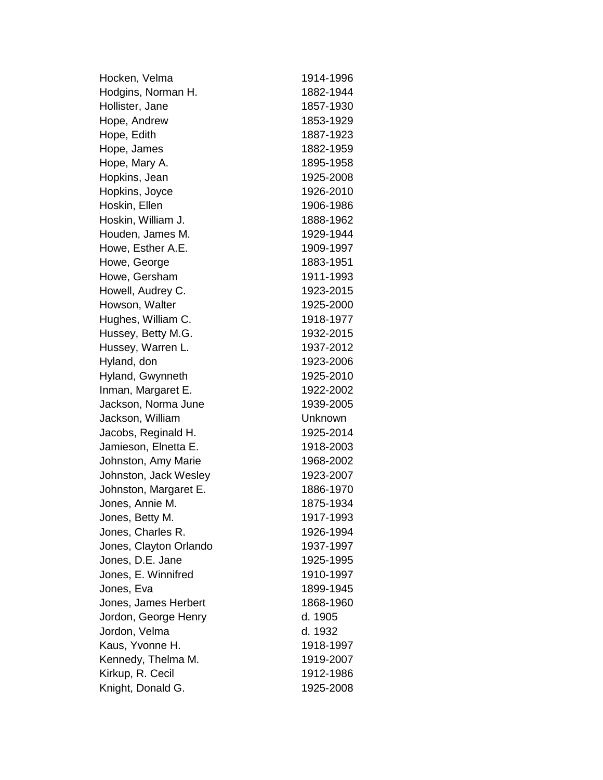Hocken, Velma 1914-1996 Hodgins, Norman H. 1882-1944 Hollister, Jane 1857-1930 Hope, Andrew 1853-1929 Hope, Edith 1887-1923 Hope, James 1882-1959 Hope, Mary A. 1895-1958 Hopkins, Jean 1925-2008 Hopkins, Joyce 1926-2010 Hoskin, Ellen 1906-1986 Hoskin, William J. 1888-1962 Houden, James M. 1929-1944 Howe, Esther A.E. 1909-1997 Howe, George 1883-1951 Howe, Gersham 1911-1993 Howell, Audrey C. 1923-2015 Howson, Walter 1925-2000 Hughes, William C. 1918-1977 Hussey, Betty M.G. 1932-2015 Hussey, Warren L. 1937-2012 Hyland, don 1923-2006 Hyland, Gwynneth 1925-2010 Inman, Margaret E. 1922-2002 Jackson, Norma June 1939-2005 Jackson, William Unknown Jacobs, Reginald H. 1925-2014 Jamieson, Elnetta E. 1918-2003 Johnston, Amy Marie 1968-2002 Johnston, Jack Wesley 1923-2007 Johnston, Margaret E. 1886-1970 Jones, Annie M. 1875-1934 Jones, Betty M. 1917-1993 Jones, Charles R. 1926-1994 Jones, Clayton Orlando 1937-1997 Jones, D.E. Jane 1925-1995 Jones, E. Winnifred 1910-1997 Jones, Eva 1899-1945 Jones, James Herbert 1868-1960 Jordon, George Henry d. 1905 Jordon, Velma d. 1932 Kaus, Yvonne H. 1918-1997 Kennedy, Thelma M. 1919-2007 Kirkup, R. Cecil 1912-1986 Knight, Donald G. 1925-2008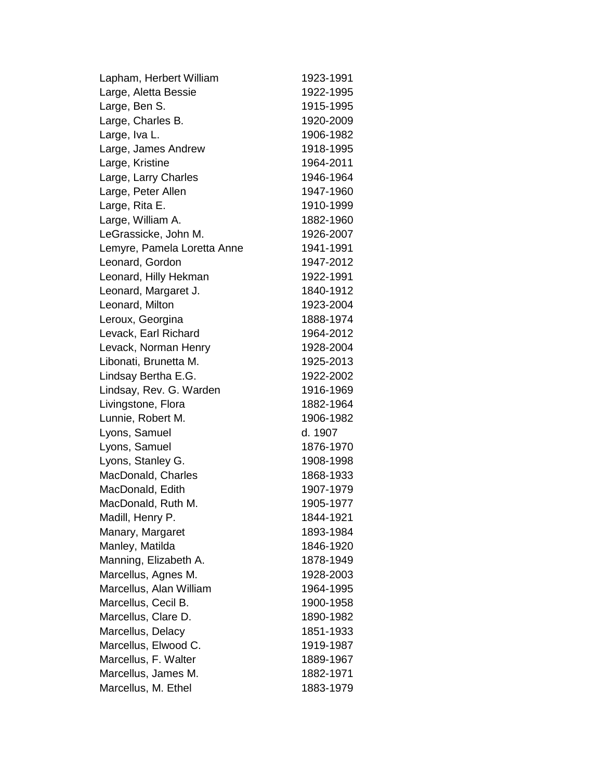Lapham, Herbert William 1923-1991 Large, Aletta Bessie 1922-1995 Large, Ben S. 1915-1995 Large, Charles B. 1920-2009 Large, Iva L. 1906-1982 Large, James Andrew 1918-1995 Large, Kristine 1964-2011 Large, Larry Charles 1946-1964 Large, Peter Allen 1947-1960 Large, Rita E. 1910-1999 Large, William A. 1882-1960 LeGrassicke, John M. 1926-2007 Lemyre, Pamela Loretta Anne 1941-1991 Leonard, Gordon 1947-2012 Leonard, Hilly Hekman 1922-1991 Leonard, Margaret J. 1840-1912 Leonard, Milton 1923-2004 Leroux, Georgina 1888-1974 Levack, Earl Richard 1964-2012 Levack, Norman Henry 1928-2004 Libonati, Brunetta M. 1925-2013 Lindsay Bertha E.G. 1922-2002 Lindsay, Rev. G. Warden 1916-1969 Livingstone, Flora 1882-1964 Lunnie, Robert M. 1906-1982 Lyons, Samuel d. 1907 Lyons, Samuel 1876-1970 Lyons, Stanley G. 1908-1998 MacDonald, Charles 1868-1933 MacDonald, Edith 1907-1979 MacDonald, Ruth M. 1905-1977 Madill, Henry P. 1844-1921 Manary, Margaret 1893-1984 Manley, Matilda 1846-1920 Manning, Elizabeth A. 1878-1949 Marcellus, Agnes M. 1928-2003 Marcellus, Alan William 1964-1995 Marcellus, Cecil B. 1900-1958 Marcellus, Clare D. 1890-1982 Marcellus, Delacy 1851-1933 Marcellus, Elwood C. 1919-1987 Marcellus, F. Walter 1889-1967 Marcellus, James M. 1882-1971 Marcellus, M. Ethel 1883-1979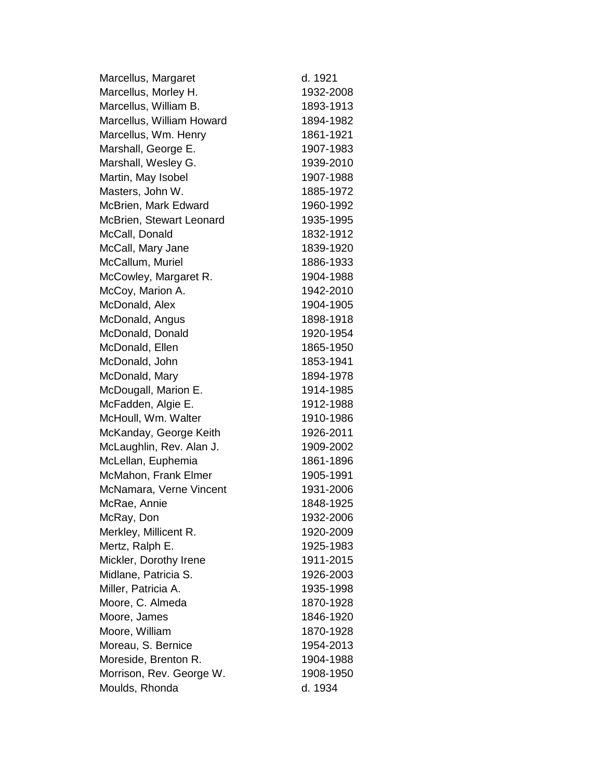| Marcellus, Margaret       | d. 1921   |
|---------------------------|-----------|
| Marcellus, Morley H.      | 1932-2008 |
| Marcellus, William B.     | 1893-1913 |
| Marcellus, William Howard | 1894-1982 |
| Marcellus, Wm. Henry      | 1861-1921 |
| Marshall, George E.       | 1907-1983 |
| Marshall, Wesley G.       | 1939-2010 |
| Martin, May Isobel        | 1907-1988 |
| Masters, John W.          | 1885-1972 |
| McBrien, Mark Edward      | 1960-1992 |
| McBrien, Stewart Leonard  | 1935-1995 |
| McCall, Donald            | 1832-1912 |
| McCall, Mary Jane         | 1839-1920 |
| McCallum, Muriel          | 1886-1933 |
| McCowley, Margaret R.     | 1904-1988 |
| McCoy, Marion A.          | 1942-2010 |
| McDonald, Alex            | 1904-1905 |
| McDonald, Angus           | 1898-1918 |
| McDonald, Donald          | 1920-1954 |
| McDonald, Ellen           | 1865-1950 |
| McDonald, John            | 1853-1941 |
| McDonald, Mary            | 1894-1978 |
| McDougall, Marion E.      | 1914-1985 |
| McFadden, Algie E.        | 1912-1988 |
| McHoull, Wm. Walter       | 1910-1986 |
| McKanday, George Keith    | 1926-2011 |
| McLaughlin, Rev. Alan J.  | 1909-2002 |
| McLellan, Euphemia        | 1861-1896 |
| McMahon, Frank Elmer      | 1905-1991 |
| McNamara, Verne Vincent   | 1931-2006 |
| McRae, Annie              | 1848-1925 |
| McRay, Don                | 1932-2006 |
| Merkley, Millicent R.     | 1920-2009 |
| Mertz, Ralph E.           | 1925-1983 |
| Mickler, Dorothy Irene    | 1911-2015 |
| Midlane, Patricia S.      | 1926-2003 |
| Miller, Patricia A.       | 1935-1998 |
| Moore, C. Almeda          | 1870-1928 |
| Moore, James              | 1846-1920 |
| Moore, William            | 1870-1928 |
| Moreau, S. Bernice        | 1954-2013 |
| Moreside, Brenton R.      | 1904-1988 |
| Morrison, Rev. George W.  | 1908-1950 |
| Moulds, Rhonda            | d. 1934   |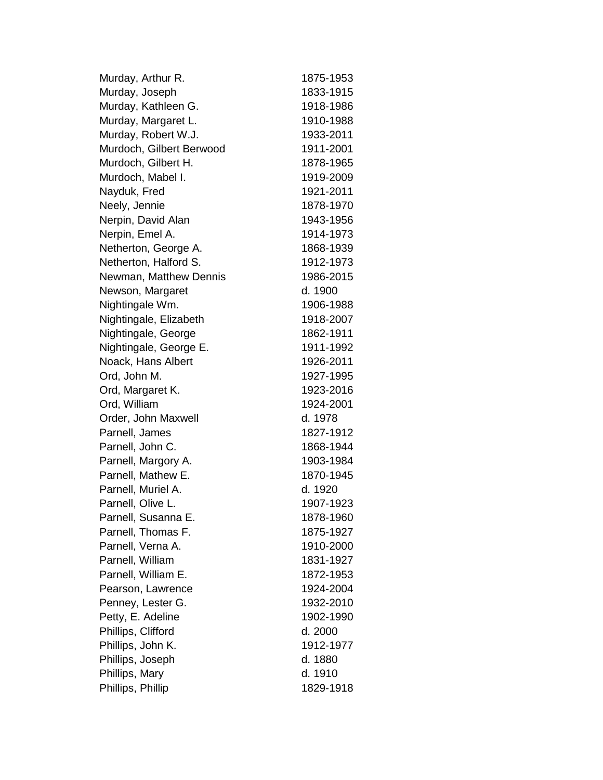| Murday, Arthur R.        | 1875-1953 |
|--------------------------|-----------|
| Murday, Joseph           | 1833-1915 |
| Murday, Kathleen G.      | 1918-1986 |
| Murday, Margaret L.      | 1910-1988 |
| Murday, Robert W.J.      | 1933-2011 |
| Murdoch, Gilbert Berwood | 1911-2001 |
| Murdoch, Gilbert H.      | 1878-1965 |
| Murdoch, Mabel I.        | 1919-2009 |
| Nayduk, Fred             | 1921-2011 |
| Neely, Jennie            | 1878-1970 |
| Nerpin, David Alan       | 1943-1956 |
| Nerpin, Emel A.          | 1914-1973 |
| Netherton, George A.     | 1868-1939 |
| Netherton, Halford S.    | 1912-1973 |
| Newman, Matthew Dennis   | 1986-2015 |
| Newson, Margaret         | d. 1900   |
| Nightingale Wm.          | 1906-1988 |
| Nightingale, Elizabeth   | 1918-2007 |
| Nightingale, George      | 1862-1911 |
| Nightingale, George E.   | 1911-1992 |
| Noack, Hans Albert       | 1926-2011 |
| Ord, John M.             | 1927-1995 |
| Ord, Margaret K.         | 1923-2016 |
| Ord, William             | 1924-2001 |
| Order, John Maxwell      | d. 1978   |
| Parnell, James           | 1827-1912 |
| Parnell, John C.         | 1868-1944 |
| Parnell, Margory A.      | 1903-1984 |
| Parnell, Mathew E.       | 1870-1945 |
| Parnell, Muriel A.       | d. 1920   |
| Parnell, Olive L.        | 1907-1923 |
| Parnell, Susanna E.      | 1878-1960 |
| Parnell, Thomas F.       | 1875-1927 |
| Parnell, Verna A.        | 1910-2000 |
| Parnell, William         | 1831-1927 |
| Parnell, William E.      | 1872-1953 |
| Pearson, Lawrence        | 1924-2004 |
| Penney, Lester G.        | 1932-2010 |
| Petty, E. Adeline        | 1902-1990 |
| Phillips, Clifford       | d. 2000   |
| Phillips, John K.        | 1912-1977 |
| Phillips, Joseph         | d. 1880   |
| Phillips, Mary           | d. 1910   |
| Phillips, Phillip        | 1829-1918 |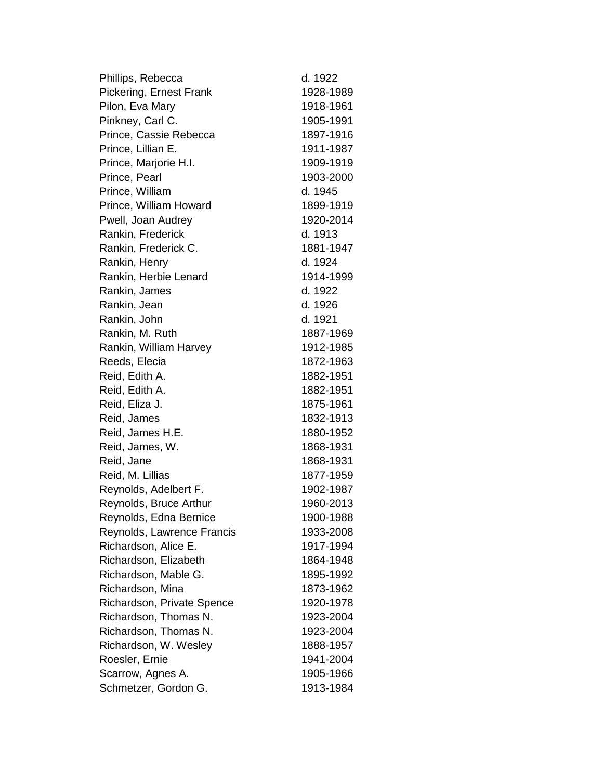| Phillips, Rebecca          | d. 1922   |
|----------------------------|-----------|
| Pickering, Ernest Frank    | 1928-1989 |
| Pilon, Eva Mary            | 1918-1961 |
| Pinkney, Carl C.           | 1905-1991 |
| Prince, Cassie Rebecca     | 1897-1916 |
| Prince, Lillian E.         | 1911-1987 |
| Prince, Marjorie H.I.      | 1909-1919 |
| Prince, Pearl              | 1903-2000 |
| Prince, William            | d. 1945   |
| Prince, William Howard     | 1899-1919 |
| Pwell, Joan Audrey         | 1920-2014 |
| Rankin, Frederick          | d. 1913   |
| Rankin, Frederick C.       | 1881-1947 |
| Rankin, Henry              | d. 1924   |
| Rankin, Herbie Lenard      | 1914-1999 |
| Rankin, James              | d. 1922   |
| Rankin, Jean               | d. 1926   |
| Rankin, John               | d. 1921   |
| Rankin, M. Ruth            | 1887-1969 |
| Rankin, William Harvey     | 1912-1985 |
| Reeds, Elecia              | 1872-1963 |
| Reid, Edith A.             | 1882-1951 |
| Reid, Edith A.             | 1882-1951 |
| Reid, Eliza J.             | 1875-1961 |
| Reid, James                | 1832-1913 |
| Reid, James H.E.           | 1880-1952 |
| Reid, James, W.            | 1868-1931 |
| Reid, Jane                 | 1868-1931 |
| Reid, M. Lillias           | 1877-1959 |
| Reynolds, Adelbert F.      | 1902-1987 |
| Reynolds, Bruce Arthur     | 1960-2013 |
| Reynolds, Edna Bernice     | 1900-1988 |
| Reynolds, Lawrence Francis | 1933-2008 |
| Richardson, Alice E.       | 1917-1994 |
| Richardson, Elizabeth      | 1864-1948 |
| Richardson, Mable G.       | 1895-1992 |
| Richardson, Mina           | 1873-1962 |
| Richardson, Private Spence | 1920-1978 |
| Richardson, Thomas N.      | 1923-2004 |
| Richardson, Thomas N.      | 1923-2004 |
| Richardson, W. Wesley      | 1888-1957 |
| Roesler, Ernie             | 1941-2004 |
| Scarrow, Agnes A.          | 1905-1966 |
| Schmetzer, Gordon G.       | 1913-1984 |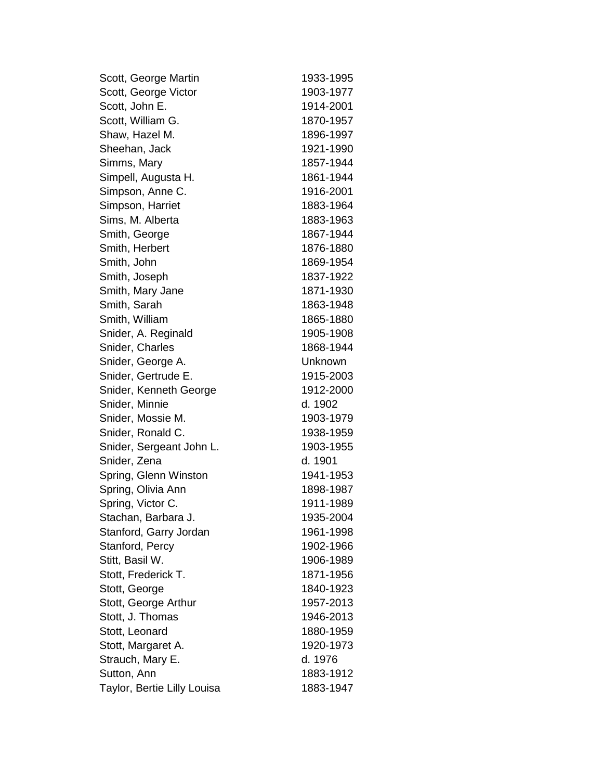| Scott, George Martin        | 1933-1995 |
|-----------------------------|-----------|
| Scott, George Victor        | 1903-1977 |
| Scott, John E.              | 1914-2001 |
| Scott, William G.           | 1870-1957 |
| Shaw, Hazel M.              | 1896-1997 |
| Sheehan, Jack               | 1921-1990 |
| Simms, Mary                 | 1857-1944 |
| Simpell, Augusta H.         | 1861-1944 |
| Simpson, Anne C.            | 1916-2001 |
| Simpson, Harriet            | 1883-1964 |
| Sims, M. Alberta            | 1883-1963 |
| Smith, George               | 1867-1944 |
| Smith, Herbert              | 1876-1880 |
| Smith, John                 | 1869-1954 |
| Smith, Joseph               | 1837-1922 |
| Smith, Mary Jane            | 1871-1930 |
| Smith, Sarah                | 1863-1948 |
| Smith, William              | 1865-1880 |
| Snider, A. Reginald         | 1905-1908 |
| Snider, Charles             | 1868-1944 |
| Snider, George A.           | Unknown   |
| Snider, Gertrude E.         | 1915-2003 |
| Snider, Kenneth George      | 1912-2000 |
| Snider, Minnie              | d. 1902   |
| Snider, Mossie M.           | 1903-1979 |
| Snider, Ronald C.           | 1938-1959 |
| Snider, Sergeant John L.    | 1903-1955 |
| Snider, Zena                | d. 1901   |
| Spring, Glenn Winston       | 1941-1953 |
| Spring, Olivia Ann          | 1898-1987 |
| Spring, Victor C.           | 1911-1989 |
| Stachan, Barbara J.         | 1935-2004 |
| Stanford, Garry Jordan      | 1961-1998 |
| Stanford, Percy             | 1902-1966 |
| Stitt, Basil W.             | 1906-1989 |
| Stott, Frederick T.         | 1871-1956 |
| Stott, George               | 1840-1923 |
| Stott, George Arthur        | 1957-2013 |
| Stott, J. Thomas            | 1946-2013 |
| Stott, Leonard              | 1880-1959 |
| Stott, Margaret A.          | 1920-1973 |
| Strauch, Mary E.            | d. 1976   |
| Sutton, Ann                 | 1883-1912 |
| Taylor, Bertie Lilly Louisa | 1883-1947 |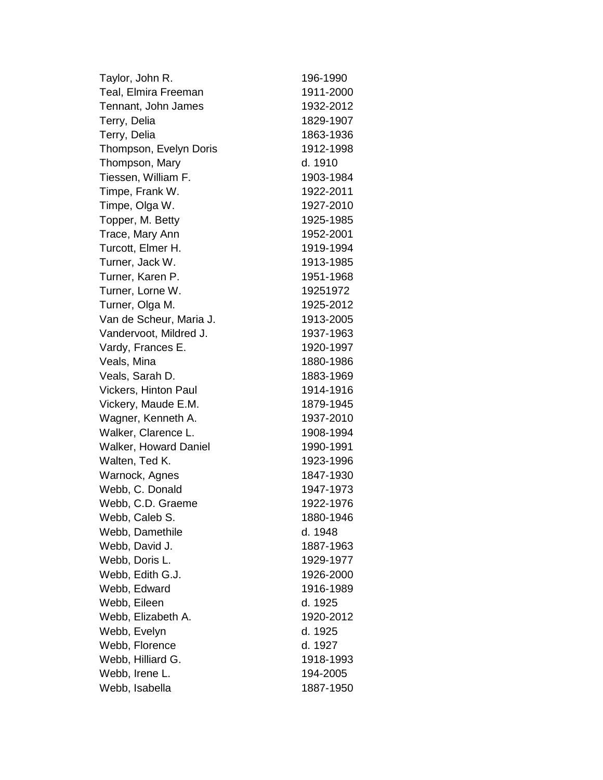| Taylor, John R.         | 196-1990  |
|-------------------------|-----------|
| Teal, Elmira Freeman    | 1911-2000 |
| Tennant, John James     | 1932-2012 |
| Terry, Delia            | 1829-1907 |
| Terry, Delia            | 1863-1936 |
| Thompson, Evelyn Doris  | 1912-1998 |
| Thompson, Mary          | d. 1910   |
| Tiessen, William F.     | 1903-1984 |
| Timpe, Frank W.         | 1922-2011 |
| Timpe, Olga W.          | 1927-2010 |
| Topper, M. Betty        | 1925-1985 |
| Trace, Mary Ann         | 1952-2001 |
| Turcott, Elmer H.       | 1919-1994 |
| Turner, Jack W.         | 1913-1985 |
| Turner, Karen P.        | 1951-1968 |
| Turner, Lorne W.        | 19251972  |
| Turner, Olga M.         | 1925-2012 |
| Van de Scheur, Maria J. | 1913-2005 |
| Vandervoot, Mildred J.  | 1937-1963 |
| Vardy, Frances E.       | 1920-1997 |
| Veals, Mina             | 1880-1986 |
| Veals, Sarah D.         | 1883-1969 |
| Vickers, Hinton Paul    | 1914-1916 |
| Vickery, Maude E.M.     | 1879-1945 |
| Wagner, Kenneth A.      | 1937-2010 |
| Walker, Clarence L.     | 1908-1994 |
| Walker, Howard Daniel   | 1990-1991 |
| Walten, Ted K.          | 1923-1996 |
| Warnock, Agnes          | 1847-1930 |
| Webb, C. Donald         | 1947-1973 |
| Webb, C.D. Graeme       | 1922-1976 |
| Webb, Caleb S.          | 1880-1946 |
| Webb, Damethile         | d. 1948   |
| Webb, David J.          | 1887-1963 |
| Webb, Doris L.          | 1929-1977 |
| Webb, Edith G.J.        | 1926-2000 |
| Webb, Edward            | 1916-1989 |
| Webb, Eileen            | d. 1925   |
| Webb, Elizabeth A.      | 1920-2012 |
| Webb, Evelyn            | d. 1925   |
| Webb, Florence          | d. 1927   |
| Webb, Hilliard G.       | 1918-1993 |
| Webb, Irene L.          | 194-2005  |
| Webb, Isabella          | 1887-1950 |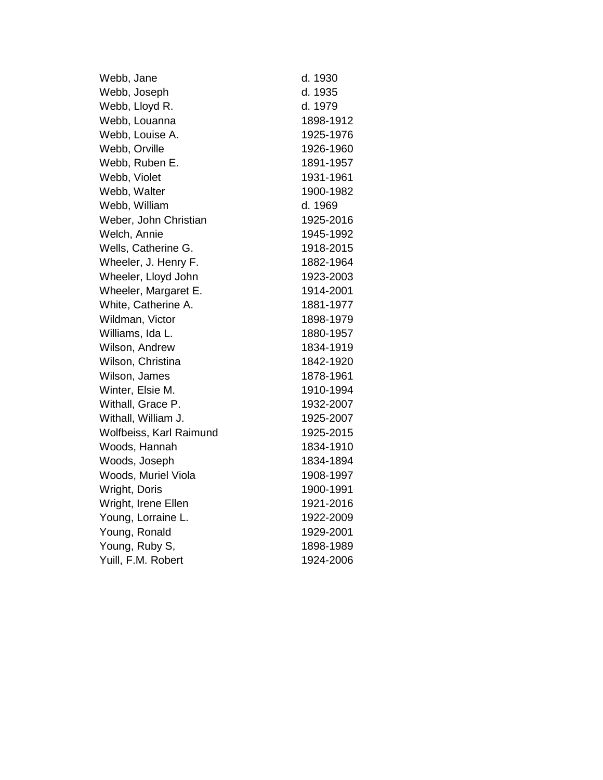| Webb, Jane              | d. 1930   |
|-------------------------|-----------|
| Webb, Joseph            | d. 1935   |
| Webb, Lloyd R.          | d. 1979   |
| Webb, Louanna           | 1898-1912 |
| Webb, Louise A.         | 1925-1976 |
| Webb, Orville           | 1926-1960 |
| Webb, Ruben E.          | 1891-1957 |
| Webb, Violet            | 1931-1961 |
| Webb, Walter            | 1900-1982 |
| Webb, William           | d. 1969   |
| Weber, John Christian   | 1925-2016 |
| Welch, Annie            | 1945-1992 |
| Wells, Catherine G.     | 1918-2015 |
| Wheeler, J. Henry F.    | 1882-1964 |
| Wheeler, Lloyd John     | 1923-2003 |
| Wheeler, Margaret E.    | 1914-2001 |
| White, Catherine A.     | 1881-1977 |
| Wildman, Victor         | 1898-1979 |
| Williams, Ida L.        | 1880-1957 |
| Wilson, Andrew          | 1834-1919 |
| Wilson, Christina       | 1842-1920 |
| Wilson, James           | 1878-1961 |
| Winter, Elsie M.        | 1910-1994 |
| Withall, Grace P.       | 1932-2007 |
| Withall, William J.     | 1925-2007 |
| Wolfbeiss, Karl Raimund | 1925-2015 |
| Woods, Hannah           | 1834-1910 |
| Woods, Joseph           | 1834-1894 |
| Woods, Muriel Viola     | 1908-1997 |
| Wright, Doris           | 1900-1991 |
| Wright, Irene Ellen     | 1921-2016 |
| Young, Lorraine L.      | 1922-2009 |
| Young, Ronald           | 1929-2001 |
| Young, Ruby S,          | 1898-1989 |
| Yuill, F.M. Robert      | 1924-2006 |